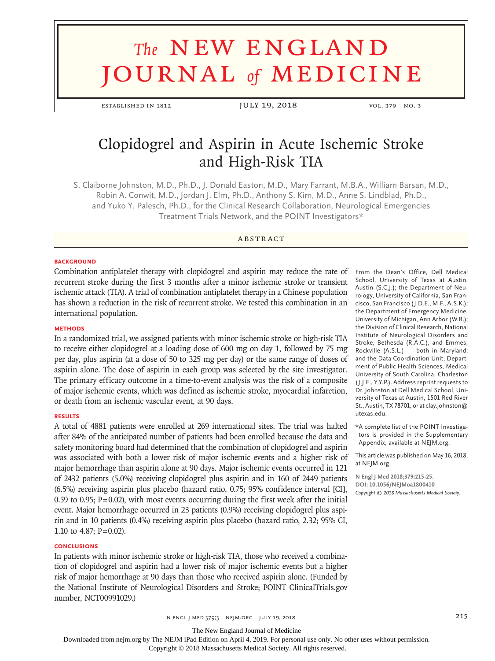# **The NEW ENGLAND** journal *of* medicine

established in 1812 JULY 19, 2018 vol. 379 no. 3

# Clopidogrel and Aspirin in Acute Ischemic Stroke and High-Risk TIA

S. Claiborne Johnston, M.D., Ph.D., J. Donald Easton, M.D., Mary Farrant, M.B.A., William Barsan, M.D., Robin A. Conwit, M.D., Jordan J. Elm, Ph.D., Anthony S. Kim, M.D., Anne S. Lindblad, Ph.D., and Yuko Y. Palesch, Ph.D., for the Clinical Research Collaboration, Neurological Emergencies Treatment Trials Network, and the POINT Investigators\*

# **ABSTRACT**

#### **BACKGROUND**

Combination antiplatelet therapy with clopidogrel and aspirin may reduce the rate of recurrent stroke during the first 3 months after a minor ischemic stroke or transient ischemic attack (TIA). A trial of combination antiplatelet therapy in a Chinese population has shown a reduction in the risk of recurrent stroke. We tested this combination in an international population.

#### **METHODS**

In a randomized trial, we assigned patients with minor ischemic stroke or high-risk TIA to receive either clopidogrel at a loading dose of 600 mg on day 1, followed by 75 mg per day, plus aspirin (at a dose of 50 to 325 mg per day) or the same range of doses of aspirin alone. The dose of aspirin in each group was selected by the site investigator. The primary efficacy outcome in a time-to-event analysis was the risk of a composite of major ischemic events, which was defined as ischemic stroke, myocardial infarction, or death from an ischemic vascular event, at 90 days.

#### **RESULTS**

A total of 4881 patients were enrolled at 269 international sites. The trial was halted after 84% of the anticipated number of patients had been enrolled because the data and safety monitoring board had determined that the combination of clopidogrel and aspirin was associated with both a lower risk of major ischemic events and a higher risk of major hemorrhage than aspirin alone at 90 days. Major ischemic events occurred in 121 of 2432 patients (5.0%) receiving clopidogrel plus aspirin and in 160 of 2449 patients (6.5%) receiving aspirin plus placebo (hazard ratio, 0.75; 95% confidence interval [CI], 0.59 to 0.95;  $P=0.02$ ), with most events occurring during the first week after the initial event. Major hemorrhage occurred in 23 patients (0.9%) receiving clopidogrel plus aspirin and in 10 patients (0.4%) receiving aspirin plus placebo (hazard ratio, 2.32; 95% CI, 1.10 to 4.87; P=0.02).

#### **CONCLUSIONS**

In patients with minor ischemic stroke or high-risk TIA, those who received a combination of clopidogrel and aspirin had a lower risk of major ischemic events but a higher risk of major hemorrhage at 90 days than those who received aspirin alone. (Funded by the National Institute of Neurological Disorders and Stroke; POINT ClinicalTrials.gov number, NCT00991029.)

From the Dean's Office, Dell Medical School, University of Texas at Austin, Austin (S.C.J.); the Department of Neurology, University of California, San Francisco, San Francisco (J.D.E., M.F., A.S.K.); the Department of Emergency Medicine, University of Michigan, Ann Arbor (W.B.); the Division of Clinical Research, National Institute of Neurological Disorders and Stroke, Bethesda (R.A.C.), and Emmes, Rockville (A.S.L.) — both in Maryland; and the Data Coordination Unit, Department of Public Health Sciences, Medical University of South Carolina, Charleston (J.J.E., Y.Y.P.). Address reprint requests to Dr. Johnston at Dell Medical School, University of Texas at Austin, 1501 Red River St., Austin, TX 78701, or at clay.johnston@ utexas.edu.

\*A complete list of the POINT Investigators is provided in the Supplementary Appendix, available at NEJM.org.

This article was published on May 16, 2018, at NEJM.org.

**N Engl J Med 2018;379:215-25. DOI: 10.1056/NEJMoa1800410** *Copyright © 2018 Massachusetts Medical Society.*

n engl j med 379;3 nejm.org July 19, 2018 215

The New England Journal of Medicine

Downloaded from nejm.org by The NEJM iPad Edition on April 4, 2019. For personal use only. No other uses without permission.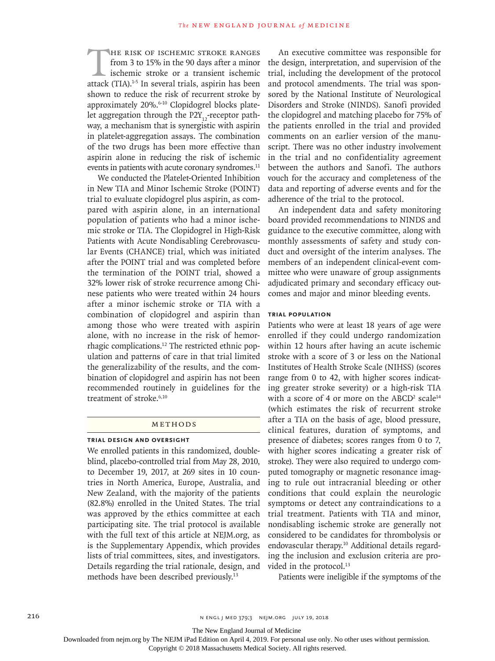THE RISK OF ISCHEMIC STROKE RANGES<br>
from 3 to 15% in the 90 days after a minor<br>
ischemic stroke or a transient ischemic<br>
attack (TIA).<sup>1-5</sup> In several trials, aspirin has been from 3 to 15% in the 90 days after a minor ischemic stroke or a transient ischemic shown to reduce the risk of recurrent stroke by approximately 20%.<sup>6-10</sup> Clopidogrel blocks platelet aggregation through the  $P2Y_{12}$ -receptor pathway, a mechanism that is synergistic with aspirin in platelet-aggregation assays. The combination of the two drugs has been more effective than aspirin alone in reducing the risk of ischemic events in patients with acute coronary syndromes.<sup>11</sup>

We conducted the Platelet-Oriented Inhibition in New TIA and Minor Ischemic Stroke (POINT) trial to evaluate clopidogrel plus aspirin, as compared with aspirin alone, in an international population of patients who had a minor ischemic stroke or TIA. The Clopidogrel in High-Risk Patients with Acute Nondisabling Cerebrovascular Events (CHANCE) trial, which was initiated after the POINT trial and was completed before the termination of the POINT trial, showed a 32% lower risk of stroke recurrence among Chinese patients who were treated within 24 hours after a minor ischemic stroke or TIA with a combination of clopidogrel and aspirin than among those who were treated with aspirin alone, with no increase in the risk of hemorrhagic complications.12 The restricted ethnic population and patterns of care in that trial limited the generalizability of the results, and the combination of clopidogrel and aspirin has not been recommended routinely in guidelines for the treatment of stroke.<sup>6,10</sup>

# METHODS

# **Trial Design and Oversight**

We enrolled patients in this randomized, doubleblind, placebo-controlled trial from May 28, 2010, to December 19, 2017, at 269 sites in 10 countries in North America, Europe, Australia, and New Zealand, with the majority of the patients (82.8%) enrolled in the United States. The trial was approved by the ethics committee at each participating site. The trial protocol is available with the full text of this article at NEJM.org, as is the Supplementary Appendix, which provides lists of trial committees, sites, and investigators. Details regarding the trial rationale, design, and methods have been described previously.13

An executive committee was responsible for the design, interpretation, and supervision of the trial, including the development of the protocol and protocol amendments. The trial was sponsored by the National Institute of Neurological Disorders and Stroke (NINDS). Sanofi provided the clopidogrel and matching placebo for 75% of the patients enrolled in the trial and provided comments on an earlier version of the manuscript. There was no other industry involvement in the trial and no confidentiality agreement between the authors and Sanofi. The authors vouch for the accuracy and completeness of the data and reporting of adverse events and for the adherence of the trial to the protocol.

An independent data and safety monitoring board provided recommendations to NINDS and guidance to the executive committee, along with monthly assessments of safety and study conduct and oversight of the interim analyses. The members of an independent clinical-event committee who were unaware of group assignments adjudicated primary and secondary efficacy outcomes and major and minor bleeding events.

# **Trial Population**

Patients who were at least 18 years of age were enrolled if they could undergo randomization within 12 hours after having an acute ischemic stroke with a score of 3 or less on the National Institutes of Health Stroke Scale (NIHSS) (scores range from 0 to 42, with higher scores indicating greater stroke severity) or a high-risk TIA with a score of 4 or more on the  $\mathrm{ABCD}^2$  scale<sup>14</sup> (which estimates the risk of recurrent stroke after a TIA on the basis of age, blood pressure, clinical features, duration of symptoms, and presence of diabetes; scores ranges from 0 to 7, with higher scores indicating a greater risk of stroke). They were also required to undergo computed tomography or magnetic resonance imaging to rule out intracranial bleeding or other conditions that could explain the neurologic symptoms or detect any contraindications to a trial treatment. Patients with TIA and minor, nondisabling ischemic stroke are generally not considered to be candidates for thrombolysis or endovascular therapy.10 Additional details regarding the inclusion and exclusion criteria are provided in the protocol.<sup>13</sup>

Patients were ineligible if the symptoms of the

The New England Journal of Medicine

Downloaded from nejm.org by The NEJM iPad Edition on April 4, 2019. For personal use only. No other uses without permission.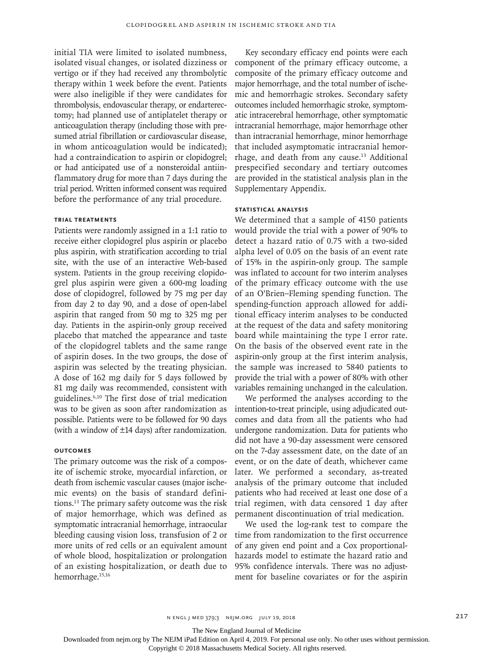initial TIA were limited to isolated numbness, isolated visual changes, or isolated dizziness or vertigo or if they had received any thrombolytic therapy within 1 week before the event. Patients were also ineligible if they were candidates for thrombolysis, endovascular therapy, or endarterectomy; had planned use of antiplatelet therapy or anticoagulation therapy (including those with presumed atrial fibrillation or cardiovascular disease, in whom anticoagulation would be indicated); had a contraindication to aspirin or clopidogrel; or had anticipated use of a nonsteroidal antiinflammatory drug for more than 7 days during the trial period. Written informed consent was required before the performance of any trial procedure.

# **Trial Treatments**

Patients were randomly assigned in a 1:1 ratio to receive either clopidogrel plus aspirin or placebo plus aspirin, with stratification according to trial site, with the use of an interactive Web-based system. Patients in the group receiving clopidogrel plus aspirin were given a 600-mg loading dose of clopidogrel, followed by 75 mg per day from day 2 to day 90, and a dose of open-label aspirin that ranged from 50 mg to 325 mg per day. Patients in the aspirin-only group received placebo that matched the appearance and taste of the clopidogrel tablets and the same range of aspirin doses. In the two groups, the dose of aspirin was selected by the treating physician. A dose of 162 mg daily for 5 days followed by 81 mg daily was recommended, consistent with guidelines.6,10 The first dose of trial medication was to be given as soon after randomization as possible. Patients were to be followed for 90 days (with a window of ±14 days) after randomization.

# **Outcomes**

The primary outcome was the risk of a composite of ischemic stroke, myocardial infarction, or death from ischemic vascular causes (major ischemic events) on the basis of standard definitions.13 The primary safety outcome was the risk of major hemorrhage, which was defined as symptomatic intracranial hemorrhage, intraocular bleeding causing vision loss, transfusion of 2 or more units of red cells or an equivalent amount of whole blood, hospitalization or prolongation of an existing hospitalization, or death due to hemorrhage.15,16

Key secondary efficacy end points were each component of the primary efficacy outcome, a composite of the primary efficacy outcome and major hemorrhage, and the total number of ischemic and hemorrhagic strokes. Secondary safety outcomes included hemorrhagic stroke, symptomatic intracerebral hemorrhage, other symptomatic intracranial hemorrhage, major hemorrhage other than intracranial hemorrhage, minor hemorrhage that included asymptomatic intracranial hemorrhage, and death from any cause.13 Additional prespecified secondary and tertiary outcomes are provided in the statistical analysis plan in the Supplementary Appendix.

#### **Statistical Analysis**

We determined that a sample of 4150 patients would provide the trial with a power of 90% to detect a hazard ratio of 0.75 with a two-sided alpha level of 0.05 on the basis of an event rate of 15% in the aspirin-only group. The sample was inflated to account for two interim analyses of the primary efficacy outcome with the use of an O'Brien–Fleming spending function. The spending-function approach allowed for additional efficacy interim analyses to be conducted at the request of the data and safety monitoring board while maintaining the type I error rate. On the basis of the observed event rate in the aspirin-only group at the first interim analysis, the sample was increased to 5840 patients to provide the trial with a power of 80% with other variables remaining unchanged in the calculation.

We performed the analyses according to the intention-to-treat principle, using adjudicated outcomes and data from all the patients who had undergone randomization. Data for patients who did not have a 90-day assessment were censored on the 7-day assessment date, on the date of an event, or on the date of death, whichever came later. We performed a secondary, as-treated analysis of the primary outcome that included patients who had received at least one dose of a trial regimen, with data censored 1 day after permanent discontinuation of trial medication.

We used the log-rank test to compare the time from randomization to the first occurrence of any given end point and a Cox proportionalhazards model to estimate the hazard ratio and 95% confidence intervals. There was no adjustment for baseline covariates or for the aspirin

n engl j med 379;3 nejm.org July 19, 2018 217

The New England Journal of Medicine

Downloaded from nejm.org by The NEJM iPad Edition on April 4, 2019. For personal use only. No other uses without permission.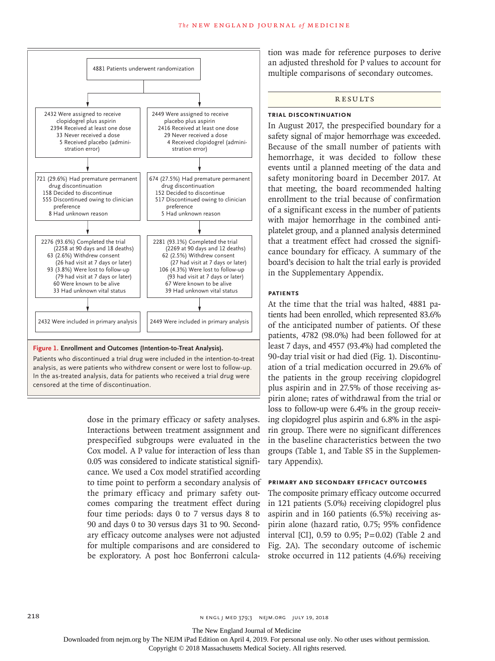

#### **Figure 1. Enrollment and Outcomes (Intention-to-Treat Analysis).**

Patients who discontinued a trial drug were included in the intention-to-treat analysis, as were patients who withdrew consent or were lost to follow-up. In the as-treated analysis, data for patients who received a trial drug were censored at the time of discontinuation.

> dose in the primary efficacy or safety analyses. Interactions between treatment assignment and prespecified subgroups were evaluated in the Cox model. A P value for interaction of less than 0.05 was considered to indicate statistical significance. We used a Cox model stratified according to time point to perform a secondary analysis of the primary efficacy and primary safety outcomes comparing the treatment effect during four time periods: days 0 to 7 versus days 8 to 90 and days 0 to 30 versus days 31 to 90. Secondary efficacy outcome analyses were not adjusted for multiple comparisons and are considered to be exploratory. A post hoc Bonferroni calcula

tion was made for reference purposes to derive an adjusted threshold for P values to account for multiple comparisons of secondary outcomes.

#### **RESULTS**

#### **Trial Discontinuation**

In August 2017, the prespecified boundary for a safety signal of major hemorrhage was exceeded. Because of the small number of patients with hemorrhage, it was decided to follow these events until a planned meeting of the data and safety monitoring board in December 2017. At that meeting, the board recommended halting enrollment to the trial because of confirmation of a significant excess in the number of patients with major hemorrhage in the combined antiplatelet group, and a planned analysis determined that a treatment effect had crossed the significance boundary for efficacy. A summary of the board's decision to halt the trial early is provided in the Supplementary Appendix.

# **Patients**

At the time that the trial was halted, 4881 patients had been enrolled, which represented 83.6% of the anticipated number of patients. Of these patients, 4782 (98.0%) had been followed for at least 7 days, and 4557 (93.4%) had completed the 90-day trial visit or had died (Fig. 1). Discontinuation of a trial medication occurred in 29.6% of the patients in the group receiving clopidogrel plus aspirin and in 27.5% of those receiving aspirin alone; rates of withdrawal from the trial or loss to follow-up were 6.4% in the group receiving clopidogrel plus aspirin and 6.8% in the aspirin group. There were no significant differences in the baseline characteristics between the two groups (Table 1, and Table S5 in the Supplementary Appendix).

#### **Primary and Secondary Efficacy Outcomes**

The composite primary efficacy outcome occurred in 121 patients (5.0%) receiving clopidogrel plus aspirin and in 160 patients (6.5%) receiving aspirin alone (hazard ratio, 0.75; 95% confidence interval [CI],  $0.59$  to  $0.95$ ;  $P=0.02$ ) (Table 2 and Fig. 2A). The secondary outcome of ischemic stroke occurred in 112 patients (4.6%) receiving

The New England Journal of Medicine

Downloaded from nejm.org by The NEJM iPad Edition on April 4, 2019. For personal use only. No other uses without permission.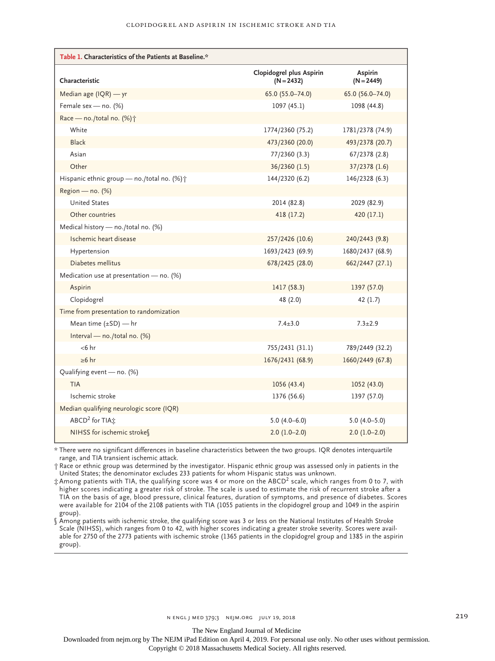| Table 1. Characteristics of the Patients at Baseline.* |                                          |                         |  |  |  |  |
|--------------------------------------------------------|------------------------------------------|-------------------------|--|--|--|--|
| Characteristic                                         | Clopidogrel plus Aspirin<br>$(N = 2432)$ | Aspirin<br>$(N = 2449)$ |  |  |  |  |
| Median age (IQR) - yr                                  | 65.0 (55.0-74.0)                         | 65.0 (56.0-74.0)        |  |  |  |  |
| Female sex - no. (%)                                   | 1097 (45.1)                              | 1098 (44.8)             |  |  |  |  |
| Race - no./total no. (%) <sup>+</sup>                  |                                          |                         |  |  |  |  |
| White                                                  | 1774/2360 (75.2)                         | 1781/2378 (74.9)        |  |  |  |  |
| <b>Black</b>                                           | 473/2360 (20.0)                          | 493/2378 (20.7)         |  |  |  |  |
| Asian                                                  | 77/2360 (3.3)                            | 67/2378 (2.8)           |  |  |  |  |
| Other                                                  | 36/2360 (1.5)                            | 37/2378 (1.6)           |  |  |  |  |
| Hispanic ethnic group - no./total no. (%) <sup>+</sup> | 144/2320 (6.2)                           | 146/2328 (6.3)          |  |  |  |  |
| Region — no. $(\%)$                                    |                                          |                         |  |  |  |  |
| <b>United States</b>                                   | 2014 (82.8)                              | 2029 (82.9)             |  |  |  |  |
| Other countries                                        | 418 (17.2)                               | 420(17.1)               |  |  |  |  |
| Medical history - no./total no. (%)                    |                                          |                         |  |  |  |  |
| Ischemic heart disease                                 | 257/2426 (10.6)                          | 240/2443 (9.8)          |  |  |  |  |
| Hypertension                                           | 1693/2423 (69.9)                         | 1680/2437 (68.9)        |  |  |  |  |
| Diabetes mellitus                                      | 678/2425 (28.0)                          | 662/2447 (27.1)         |  |  |  |  |
| Medication use at presentation - no. (%)               |                                          |                         |  |  |  |  |
| Aspirin                                                | 1417 (58.3)                              | 1397 (57.0)             |  |  |  |  |
| Clopidogrel                                            | 48 (2.0)                                 | 42(1.7)                 |  |  |  |  |
| Time from presentation to randomization                |                                          |                         |  |  |  |  |
| Mean time $(\pm SD)$ — hr                              | $7.4 \pm 3.0$                            | $7.3 \pm 2.9$           |  |  |  |  |
| Interval - no./total no. (%)                           |                                          |                         |  |  |  |  |
| $<$ 6 hr                                               | 755/2431 (31.1)                          | 789/2449 (32.2)         |  |  |  |  |
| $\geq 6$ hr                                            | 1676/2431 (68.9)                         | 1660/2449 (67.8)        |  |  |  |  |
| Qualifying event - no. (%)                             |                                          |                         |  |  |  |  |
| <b>TIA</b>                                             | 1056(43.4)                               | 1052 (43.0)             |  |  |  |  |
| Ischemic stroke                                        | 1376 (56.6)                              | 1397 (57.0)             |  |  |  |  |
| Median qualifying neurologic score (IQR)               |                                          |                         |  |  |  |  |
| ABCD <sup>2</sup> for TIA <sup>+</sup>                 | $5.0(4.0-6.0)$                           | $5.0(4.0-5.0)$          |  |  |  |  |
| NIHSS for ischemic strokes                             | $2.0(1.0-2.0)$                           | $2.0(1.0-2.0)$          |  |  |  |  |

\* There were no significant differences in baseline characteristics between the two groups. IQR denotes interquartile range, and TIA transient ischemic attack.

† Race or ethnic group was determined by the investigator. Hispanic ethnic group was assessed only in patients in the United States; the denominator excludes 233 patients for whom Hispanic status was unknown.

‡ Among patients with TIA, the qualifying score was 4 or more on the ABCD2 scale, which ranges from 0 to 7, with higher scores indicating a greater risk of stroke. The scale is used to estimate the risk of recurrent stroke after a TIA on the basis of age, blood pressure, clinical features, duration of symptoms, and presence of diabetes. Scores were available for 2104 of the 2108 patients with TIA (1055 patients in the clopidogrel group and 1049 in the aspirin group).

§ Among patients with ischemic stroke, the qualifying score was 3 or less on the National Institutes of Health Stroke Scale (NIHSS), which ranges from 0 to 42, with higher scores indicating a greater stroke severity. Scores were available for 2750 of the 2773 patients with ischemic stroke (1365 patients in the clopidogrel group and 1385 in the aspirin group).

The New England Journal of Medicine

Downloaded from nejm.org by The NEJM iPad Edition on April 4, 2019. For personal use only. No other uses without permission.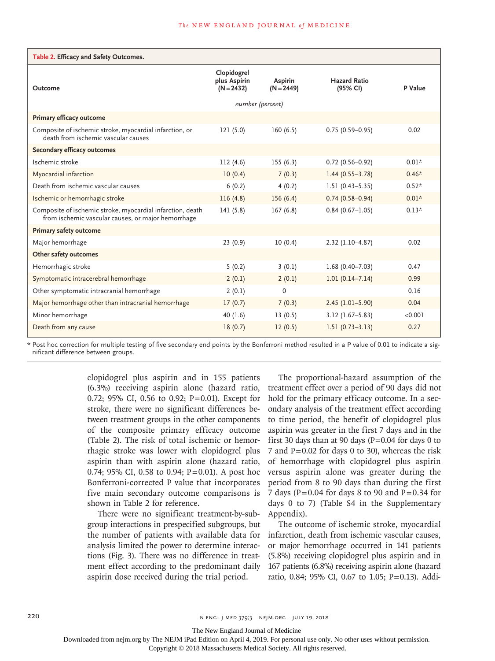| Table 2. Efficacy and Safety Outcomes.                                                                           |                                             |                         |                                 |         |  |  |  |  |  |
|------------------------------------------------------------------------------------------------------------------|---------------------------------------------|-------------------------|---------------------------------|---------|--|--|--|--|--|
| Outcome                                                                                                          | Clopidogrel<br>plus Aspirin<br>$(N = 2432)$ | Aspirin<br>$(N = 2449)$ | <b>Hazard Ratio</b><br>(95% CI) | P Value |  |  |  |  |  |
|                                                                                                                  | number (percent)                            |                         |                                 |         |  |  |  |  |  |
| Primary efficacy outcome                                                                                         |                                             |                         |                                 |         |  |  |  |  |  |
| Composite of ischemic stroke, myocardial infarction, or<br>death from ischemic vascular causes                   | 121(5.0)                                    | 160(6.5)                | $0.75(0.59 - 0.95)$             | 0.02    |  |  |  |  |  |
| <b>Secondary efficacy outcomes</b>                                                                               |                                             |                         |                                 |         |  |  |  |  |  |
| Ischemic stroke                                                                                                  | 112(4.6)                                    | 155(6.3)                | $0.72(0.56 - 0.92)$             | $0.01*$ |  |  |  |  |  |
| Myocardial infarction                                                                                            | 10(0.4)                                     | 7(0.3)                  | $1.44(0.55 - 3.78)$             | $0.46*$ |  |  |  |  |  |
| Death from ischemic vascular causes                                                                              | 6(0.2)                                      | 4(0.2)                  | $1.51(0.43 - 5.35)$             | $0.52*$ |  |  |  |  |  |
| Ischemic or hemorrhagic stroke                                                                                   | 116(4.8)                                    | 156(6.4)                | $0.74(0.58 - 0.94)$             | $0.01*$ |  |  |  |  |  |
| Composite of ischemic stroke, myocardial infarction, death<br>from ischemic vascular causes, or major hemorrhage | 141(5.8)                                    | 167(6.8)                | $0.84(0.67-1.05)$               | $0.13*$ |  |  |  |  |  |
| Primary safety outcome                                                                                           |                                             |                         |                                 |         |  |  |  |  |  |
| Major hemorrhage                                                                                                 | 23(0.9)                                     | 10(0.4)                 | $2.32(1.10-4.87)$               | 0.02    |  |  |  |  |  |
| Other safety outcomes                                                                                            |                                             |                         |                                 |         |  |  |  |  |  |
| Hemorrhagic stroke                                                                                               | 5(0.2)                                      | 3(0.1)                  | $1.68(0.40 - 7.03)$             | 0.47    |  |  |  |  |  |
| Symptomatic intracerebral hemorrhage                                                                             | 2(0.1)                                      | 2(0.1)                  | $1.01(0.14 - 7.14)$             | 0.99    |  |  |  |  |  |
| Other symptomatic intracranial hemorrhage                                                                        | 2(0.1)                                      | $\mathbf{0}$            |                                 | 0.16    |  |  |  |  |  |
| Major hemorrhage other than intracranial hemorrhage                                                              | 17(0.7)                                     | 7(0.3)                  | $2.45(1.01 - 5.90)$             | 0.04    |  |  |  |  |  |
| Minor hemorrhage                                                                                                 | 40(1.6)                                     | 13(0.5)                 | $3.12(1.67 - 5.83)$             | < 0.001 |  |  |  |  |  |
| Death from any cause                                                                                             | 18(0.7)                                     | 12(0.5)                 | $1.51(0.73 - 3.13)$             | 0.27    |  |  |  |  |  |

\* Post hoc correction for multiple testing of five secondary end points by the Bonferroni method resulted in a P value of 0.01 to indicate a significant difference between groups.

> clopidogrel plus aspirin and in 155 patients (6.3%) receiving aspirin alone (hazard ratio, 0.72; 95% CI, 0.56 to 0.92; P=0.01). Except for stroke, there were no significant differences between treatment groups in the other components of the composite primary efficacy outcome (Table 2). The risk of total ischemic or hemorrhagic stroke was lower with clopidogrel plus aspirin than with aspirin alone (hazard ratio, 0.74; 95% CI, 0.58 to 0.94;  $P = 0.01$ ). A post hoc Bonferroni-corrected P value that incorporates five main secondary outcome comparisons is shown in Table 2 for reference.

> There were no significant treatment-by-subgroup interactions in prespecified subgroups, but the number of patients with available data for analysis limited the power to determine interactions (Fig. 3). There was no difference in treatment effect according to the predominant daily aspirin dose received during the trial period.

The proportional-hazard assumption of the treatment effect over a period of 90 days did not hold for the primary efficacy outcome. In a secondary analysis of the treatment effect according to time period, the benefit of clopidogrel plus aspirin was greater in the first 7 days and in the first 30 days than at 90 days ( $P=0.04$  for days 0 to 7 and  $P=0.02$  for days 0 to 30), whereas the risk of hemorrhage with clopidogrel plus aspirin versus aspirin alone was greater during the period from 8 to 90 days than during the first 7 days ( $P = 0.04$  for days 8 to 90 and  $P = 0.34$  for days 0 to 7) (Table S4 in the Supplementary Appendix).

The outcome of ischemic stroke, myocardial infarction, death from ischemic vascular causes, or major hemorrhage occurred in 141 patients (5.8%) receiving clopidogrel plus aspirin and in 167 patients (6.8%) receiving aspirin alone (hazard ratio, 0.84; 95% CI, 0.67 to 1.05; P=0.13). Addi-

220 **n ENGL J MED 379;3** NEJM.ORG JULY 19, 2018

The New England Journal of Medicine

Downloaded from nejm.org by The NEJM iPad Edition on April 4, 2019. For personal use only. No other uses without permission.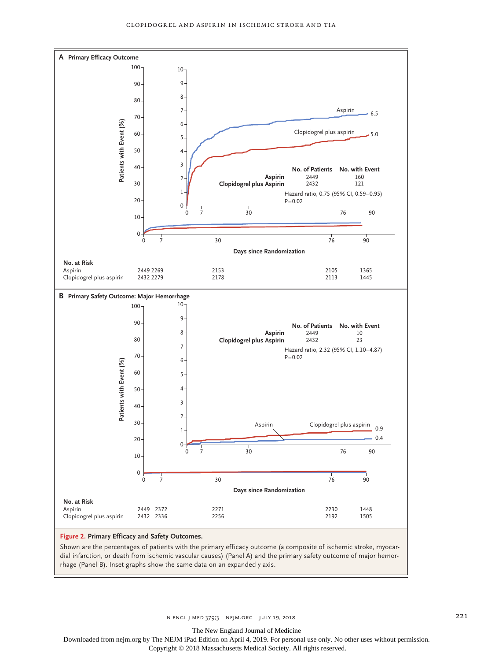

Shown are the percentages of patients with the primary efficacy outcome (a composite of ischemic stroke, myocardial infarction, or death from ischemic vascular causes) (Panel A) and the primary safety outcome of major hemor-<br>rhage (Panel B). Inset graphs show the same data on an expanded y axis.

n engl j med 379;3 nejm.org July 19, 2018 221

The New England Journal of Medicine

Downloaded from nejm.org by The NEJM iPad Edition on April 4, 2019. For personal use only. No other uses without permission.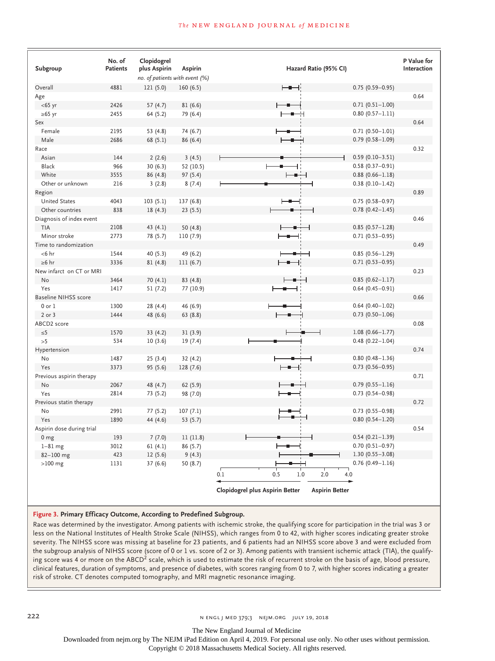#### **The NEW ENGLAND JOURNAL of MEDICINE**

| Subgroup                    | No. of<br><b>Patients</b> | Clopidogrel<br>plus Aspirin    | Aspirin    | Hazard Ratio (95% CI)                                    | P Value for<br>Interaction |
|-----------------------------|---------------------------|--------------------------------|------------|----------------------------------------------------------|----------------------------|
|                             |                           | no. of patients with event (%) |            |                                                          |                            |
| Overall                     | 4881                      | 121 (5.0)                      | 160(6.5)   | $0.75(0.59 - 0.95)$<br>⊢∎⊣                               |                            |
| Age                         |                           |                                |            |                                                          | 0.64                       |
| $<$ 65 yr                   | 2426                      | 57(4.7)                        | 81(6.6)    | $0.71(0.51 - 1.00)$                                      |                            |
| $\geq 65$ yr                | 2455                      | 64 (5.2)                       | 79 (6.4)   | $0.80(0.57 - 1.11)$                                      |                            |
| Sex                         |                           |                                |            |                                                          | 0.64                       |
| Female                      | 2195                      | 53 (4.8)                       | 74 (6.7)   | $0.71(0.50 - 1.01)$                                      |                            |
| Male                        | 2686                      | 68 (5.1)                       | 86 (6.4)   | $0.79(0.58 - 1.09)$                                      |                            |
| Race                        |                           |                                |            |                                                          | 0.32                       |
| Asian                       | 144                       | 2(2.6)                         | 3(4.5)     | $0.59(0.10-3.51)$                                        |                            |
| Black                       | 966                       | 30(6.3)                        | 52 (10.5)  | $0.58(0.37 - 0.91)$                                      |                            |
| White                       | 3555                      | 86 (4.8)                       | 97 (5.4)   | $0.88(0.66 - 1.18)$<br>÷                                 |                            |
| Other or unknown            | 216                       | 3(2.8)                         | 8(7.4)     | $0.38(0.10 - 1.42)$                                      |                            |
| Region                      |                           |                                |            |                                                          | 0.89                       |
| <b>United States</b>        | 4043                      | 103(5.1)                       | 137(6.8)   | $0.75(0.58 - 0.97)$                                      |                            |
| Other countries             | 838                       | 18(4.3)                        | 23 (5.5)   | $0.78(0.42 - 1.45)$                                      |                            |
| Diagnosis of index event    |                           |                                |            |                                                          | 0.46                       |
| TIA                         | 2108                      | 43 $(4.1)$                     | 50 $(4.8)$ | $0.85(0.57 - 1.28)$                                      |                            |
| Minor stroke                | 2773                      | 78 (5.7)                       | 110(7.9)   | $0.71(0.53 - 0.95)$<br>$\overline{\phantom{a}}$          |                            |
| Time to randomization       |                           |                                |            |                                                          | 0.49                       |
| $< 6$ hr                    | 1544                      | 40 (5.3)                       | 49 (6.2)   | $0.85(0.56 - 1.29)$<br>٠<br>┥                            |                            |
| $\geq 6$ hr                 | 3336                      | 81(4.8)                        | 111(6.7)   | $0.71(0.53 - 0.95)$                                      |                            |
| New infarct on CT or MRI    |                           |                                |            |                                                          | 0.23                       |
| No                          | 3464                      | 70 (4.1)                       | 83(4.8)    | $0.85(0.62 - 1.17)$<br>-9                                |                            |
| Yes                         | 1417                      | 51(7.2)                        | 77 (10.9)  | $0.64(0.45 - 0.91)$<br>Н<br>۰                            |                            |
| <b>Baseline NIHSS score</b> |                           |                                |            |                                                          | 0.66                       |
| $0$ or $1$                  | 1300                      | 28 (4.4)                       | 46 (6.9)   | $0.64(0.40 - 1.02)$                                      |                            |
| $2$ or $3$                  | 1444                      | 48 (6.6)                       | 63(8.8)    | $0.73$ (0.50-1.06)                                       |                            |
| ABCD2 score                 |                           |                                |            |                                                          | 0.08                       |
| $\leq 5$                    | 1570                      | 33(4.2)                        | 31(3.9)    | $1.08(0.66 - 1.77)$                                      |                            |
| >5                          | 534                       | 10(3.6)                        | 19 (7.4)   | $0.48(0.22 - 1.04)$<br>Ł                                 |                            |
| Hypertension                |                           |                                |            |                                                          | 0.74                       |
| No                          | 1487                      | 25(3.4)                        | 32(4.2)    | $0.80(0.48 - 1.36)$                                      |                            |
| Yes                         | 3373                      | 95 (5.6)                       | 128 (7.6)  | $0.73$ $(0.56 - 0.95)$                                   |                            |
| Previous aspirin therapy    |                           |                                |            |                                                          | 0.71                       |
| No                          | 2067                      | 48 (4.7)                       | 62(5.9)    | $0.79(0.55 - 1.16)$                                      |                            |
| Yes                         | 2814                      | 73 (5.2)                       | 98 (7.0)   | $0.73$ (0.54-0.98)                                       |                            |
| Previous statin therapy     |                           |                                |            |                                                          | 0.72                       |
| No                          | 2991                      | 77(5.2)                        | 107(7.1)   | $0.73$ (0.55-0.98)                                       |                            |
| Yes                         | 1890                      | 44 (4.6)                       | 53 (5.7)   | $0.80(0.54 - 1.20)$                                      |                            |
| Aspirin dose during trial   |                           |                                |            |                                                          | 0.54                       |
| 0 <sub>mg</sub>             | 193                       | 7(7.0)                         | 11(11.8)   | $0.54(0.21 - 1.39)$                                      |                            |
| $1-81$ mg                   | 3012                      | 61(4.1)                        | 86(5.7)    | $0.70(0.51 - 0.97)$                                      |                            |
| $82 - 100$ mg               | 423                       | 12(5.6)                        | 9(4.3)     | $1.30(0.55 - 3.08)$                                      |                            |
| $>100$ mg                   | 1131                      | 37(6.6)                        | 50 (8.7)   | $0.76$ (0.49-1.16)                                       |                            |
|                             |                           |                                |            | 0.1<br>0.5<br>1.0<br>2.0<br>4.0                          |                            |
|                             |                           |                                |            |                                                          |                            |
|                             |                           |                                |            | Clopidogrel plus Aspirin Better<br><b>Aspirin Better</b> |                            |

#### **Figure 3. Primary Efficacy Outcome, According to Predefined Subgroup.**

Race was determined by the investigator. Among patients with ischemic stroke, the qualifying score for participation in the trial was 3 or less on the National Institutes of Health Stroke Scale (NIHSS), which ranges from 0 to 42, with higher scores indicating greater stroke severity. The NIHSS score was missing at baseline for 23 patients, and 6 patients had an NIHSS score above 3 and were excluded from the subgroup analysis of NIHSS score (score of 0 or 1 vs. score of 2 or 3). Among patients with transient ischemic attack (TIA), the qualifying score was 4 or more on the ABCD<sup>2</sup> scale, which is used to estimate the risk of recurrent stroke on the basis of age, blood pressure, clinical features, duration of symptoms, and presence of diabetes, with scores ranging from 0 to 7, with higher scores indicating a greater risk of stroke. CT denotes computed tomography, and MRI magnetic resonance imaging.

The New England Journal of Medicine

Downloaded from nejm.org by The NEJM iPad Edition on April 4, 2019. For personal use only. No other uses without permission.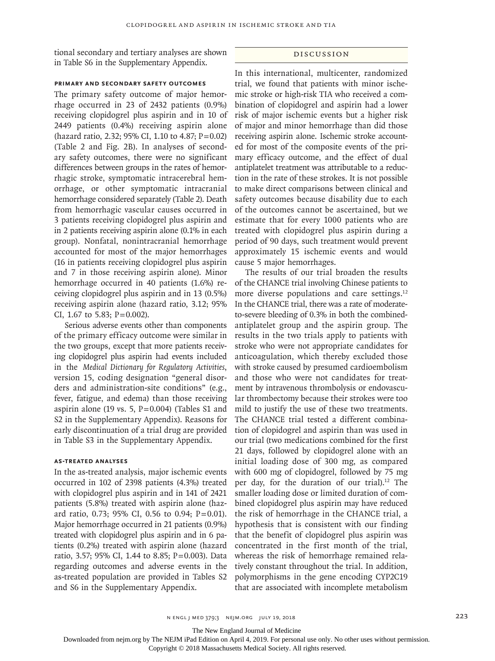tional secondary and tertiary analyses are shown in Table S6 in the Supplementary Appendix.

#### Discussion

### **Primary and Secondary Safety Outcomes**

The primary safety outcome of major hemorrhage occurred in 23 of 2432 patients (0.9%) receiving clopidogrel plus aspirin and in 10 of 2449 patients (0.4%) receiving aspirin alone (hazard ratio, 2.32; 95% CI, 1.10 to 4.87; P=0.02) (Table 2 and Fig. 2B). In analyses of secondary safety outcomes, there were no significant differences between groups in the rates of hemorrhagic stroke, symptomatic intracerebral hemorrhage, or other symptomatic intracranial hemorrhage considered separately (Table 2). Death from hemorrhagic vascular causes occurred in 3 patients receiving clopidogrel plus aspirin and in 2 patients receiving aspirin alone (0.1% in each group). Nonfatal, nonintracranial hemorrhage accounted for most of the major hemorrhages (16 in patients receiving clopidogrel plus aspirin and 7 in those receiving aspirin alone). Minor hemorrhage occurred in 40 patients (1.6%) receiving clopidogrel plus aspirin and in 13 (0.5%) receiving aspirin alone (hazard ratio, 3.12; 95% CI, 1.67 to 5.83;  $P = 0.002$ ).

Serious adverse events other than components of the primary efficacy outcome were similar in the two groups, except that more patients receiving clopidogrel plus aspirin had events included in the *Medical Dictionary for Regulatory Activities*, version 15, coding designation "general disorders and administration-site conditions" (e.g., fever, fatigue, and edema) than those receiving aspirin alone (19 vs. 5,  $P = 0.004$ ) (Tables S1 and S2 in the Supplementary Appendix). Reasons for early discontinuation of a trial drug are provided in Table S3 in the Supplementary Appendix.

# **As-Treated Analyses**

In the as-treated analysis, major ischemic events occurred in 102 of 2398 patients (4.3%) treated with clopidogrel plus aspirin and in 141 of 2421 patients (5.8%) treated with aspirin alone (hazard ratio, 0.73; 95% CI, 0.56 to 0.94; P=0.01). Major hemorrhage occurred in 21 patients (0.9%) treated with clopidogrel plus aspirin and in 6 patients (0.2%) treated with aspirin alone (hazard ratio, 3.57; 95% CI, 1.44 to 8.85; P=0.003). Data regarding outcomes and adverse events in the as-treated population are provided in Tables S2 and S6 in the Supplementary Appendix.

In this international, multicenter, randomized trial, we found that patients with minor ischemic stroke or high-risk TIA who received a combination of clopidogrel and aspirin had a lower risk of major ischemic events but a higher risk of major and minor hemorrhage than did those receiving aspirin alone. Ischemic stroke accounted for most of the composite events of the primary efficacy outcome, and the effect of dual antiplatelet treatment was attributable to a reduction in the rate of these strokes. It is not possible to make direct comparisons between clinical and safety outcomes because disability due to each of the outcomes cannot be ascertained, but we estimate that for every 1000 patients who are treated with clopidogrel plus aspirin during a period of 90 days, such treatment would prevent approximately 15 ischemic events and would cause 5 major hemorrhages.

The results of our trial broaden the results of the CHANCE trial involving Chinese patients to more diverse populations and care settings.<sup>12</sup> In the CHANCE trial, there was a rate of moderateto-severe bleeding of 0.3% in both the combinedantiplatelet group and the aspirin group. The results in the two trials apply to patients with stroke who were not appropriate candidates for anticoagulation, which thereby excluded those with stroke caused by presumed cardioembolism and those who were not candidates for treatment by intravenous thrombolysis or endovascular thrombectomy because their strokes were too mild to justify the use of these two treatments. The CHANCE trial tested a different combination of clopidogrel and aspirin than was used in our trial (two medications combined for the first 21 days, followed by clopidogrel alone with an initial loading dose of 300 mg, as compared with 600 mg of clopidogrel, followed by 75 mg per day, for the duration of our trial).12 The smaller loading dose or limited duration of combined clopidogrel plus aspirin may have reduced the risk of hemorrhage in the CHANCE trial, a hypothesis that is consistent with our finding that the benefit of clopidogrel plus aspirin was concentrated in the first month of the trial, whereas the risk of hemorrhage remained relatively constant throughout the trial. In addition, polymorphisms in the gene encoding CYP2C19 that are associated with incomplete metabolism

n ENGL J MED 379;3 NEJM.ORG JULY 19, 2018 223

The New England Journal of Medicine

Downloaded from nejm.org by The NEJM iPad Edition on April 4, 2019. For personal use only. No other uses without permission.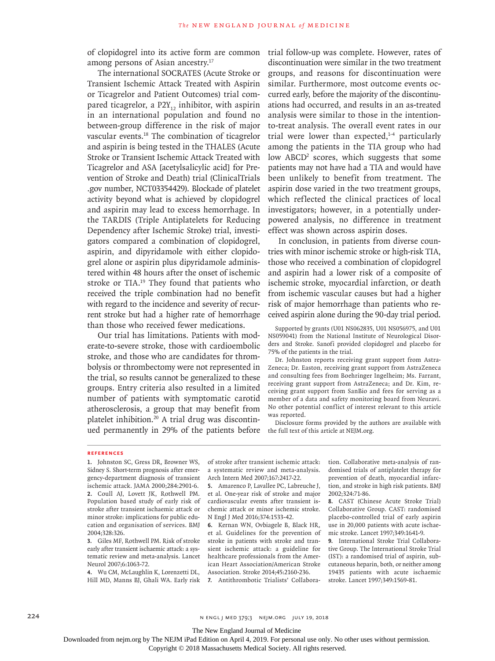of clopidogrel into its active form are common among persons of Asian ancestry.17

The international SOCRATES (Acute Stroke or Transient Ischemic Attack Treated with Aspirin or Ticagrelor and Patient Outcomes) trial compared ticagrelor, a  $P2Y_{12}$  inhibitor, with aspirin in an international population and found no between-group difference in the risk of major vascular events.18 The combination of ticagrelor and aspirin is being tested in the THALES (Acute Stroke or Transient Ischemic Attack Treated with Ticagrelor and ASA [acetylsalicylic acid] for Prevention of Stroke and Death) trial (ClinicalTrials .gov number, NCT03354429). Blockade of platelet activity beyond what is achieved by clopidogrel and aspirin may lead to excess hemorrhage. In the TARDIS (Triple Antiplatelets for Reducing Dependency after Ischemic Stroke) trial, investigators compared a combination of clopidogrel, aspirin, and dipyridamole with either clopidogrel alone or aspirin plus dipyridamole administered within 48 hours after the onset of ischemic stroke or TIA.<sup>19</sup> They found that patients who received the triple combination had no benefit with regard to the incidence and severity of recurrent stroke but had a higher rate of hemorrhage than those who received fewer medications.

Our trial has limitations. Patients with moderate-to-severe stroke, those with cardioembolic stroke, and those who are candidates for thrombolysis or thrombectomy were not represented in the trial, so results cannot be generalized to these groups. Entry criteria also resulted in a limited number of patients with symptomatic carotid atherosclerosis, a group that may benefit from platelet inhibition.<sup>20</sup> A trial drug was discontinued permanently in 29% of the patients before

trial follow-up was complete. However, rates of discontinuation were similar in the two treatment groups, and reasons for discontinuation were similar. Furthermore, most outcome events occurred early, before the majority of the discontinuations had occurred, and results in an as-treated analysis were similar to those in the intentionto-treat analysis. The overall event rates in our trial were lower than expected, $1-4$  particularly among the patients in the TIA group who had low ABCD<sup>2</sup> scores, which suggests that some patients may not have had a TIA and would have been unlikely to benefit from treatment. The aspirin dose varied in the two treatment groups, which reflected the clinical practices of local investigators; however, in a potentially underpowered analysis, no difference in treatment effect was shown across aspirin doses.

In conclusion, in patients from diverse countries with minor ischemic stroke or high-risk TIA, those who received a combination of clopidogrel and aspirin had a lower risk of a composite of ischemic stroke, myocardial infarction, or death from ischemic vascular causes but had a higher risk of major hemorrhage than patients who received aspirin alone during the 90-day trial period.

Supported by grants (U01 NS062835, U01 NS056975, and U01 NS059041) from the National Institute of Neurological Disorders and Stroke. Sanofi provided clopidogrel and placebo for 75% of the patients in the trial.

Dr. Johnston reports receiving grant support from Astra-Zeneca; Dr. Easton, receiving grant support from AstraZeneca and consulting fees from Boehringer Ingelheim; Ms. Farrant, receiving grant support from AstraZeneca; and Dr. Kim, receiving grant support from SanBio and fees for serving as a member of a data and safety monitoring board from Neuravi. No other potential conflict of interest relevant to this article was reported.

Disclosure forms provided by the authors are available with the full text of this article at NEJM.org.

#### **References**

**1.** Johnston SC, Gress DR, Browner WS, Sidney S. Short-term prognosis after emergency-department diagnosis of transient ischemic attack. JAMA 2000;284:2901-6. **2.** Coull AJ, Lovett JK, Rothwell PM. Population based study of early risk of stroke after transient ischaemic attack or minor stroke: implications for public education and organisation of services. BMJ 2004;328:326.

**3.** Giles MF, Rothwell PM. Risk of stroke early after transient ischaemic attack: a systematic review and meta-analysis. Lancet Neurol 2007;6:1063-72.

**4.** Wu CM, McLaughlin K, Lorenzetti DL, Hill MD, Manns BJ, Ghali WA. Early risk of stroke after transient ischemic attack: a systematic review and meta-analysis. Arch Intern Med 2007;167:2417-22.

**5.** Amarenco P, Lavallee PC, Labreuche J, et al. One-year risk of stroke and major cardiovascular events after transient ischemic attack or minor ischemic stroke. N Engl J Med 2016;374:1533-42.

**6.** Kernan WN, Ovbiagele B, Black HR, et al. Guidelines for the prevention of stroke in patients with stroke and transient ischemic attack: a guideline for healthcare professionals from the American Heart Association/American Stroke Association. Stroke 2014;45:2160-236. **7.** Antithrombotic Trialists' Collaboration. Collaborative meta-analysis of randomised trials of antiplatelet therapy for prevention of death, myocardial infarction, and stroke in high risk patients. BMJ 2002;324:71-86.

**8.** CAST (Chinese Acute Stroke Trial) Collaborative Group. CAST: randomised placebo-controlled trial of early aspirin use in 20,000 patients with acute ischaemic stroke. Lancet 1997;349:1641-9.

**9.** International Stroke Trial Collaborative Group. The International Stroke Trial (IST): a randomised trial of aspirin, subcutaneous heparin, both, or neither among 19435 patients with acute ischaemic stroke. Lancet 1997;349:1569-81.

224 **n ENGL j MED 379;3** NEJM.ORG JULY 19, 2018

The New England Journal of Medicine